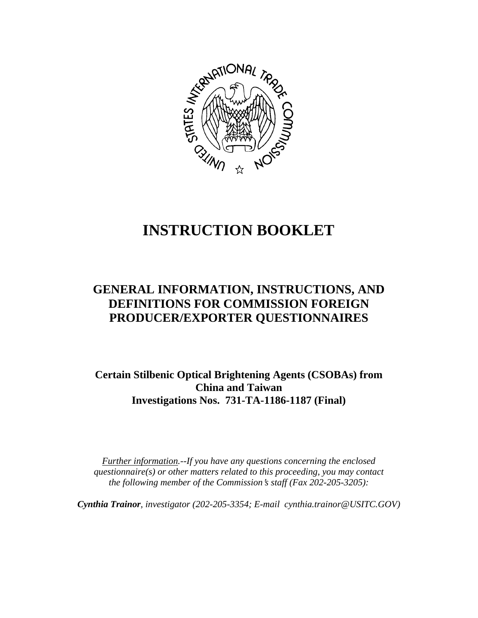

# **INSTRUCTION BOOKLET**

# **GENERAL INFORMATION, INSTRUCTIONS, AND DEFINITIONS FOR COMMISSION FOREIGN PRODUCER/EXPORTER QUESTIONNAIRES**

**Certain Stilbenic Optical Brightening Agents (CSOBAs) from China and Taiwan Investigations Nos. 731-TA-1186-1187 (Final)**

*Further information.--If you have any questions concerning the enclosed questionnaire(s) or other matters related to this proceeding, you may contact the following member of the Commission*=*s staff (Fax 202-205-3205):* 

*Cynthia Trainor, investigator (202-205-3354; E-mail cynthia.trainor@USITC.GOV)*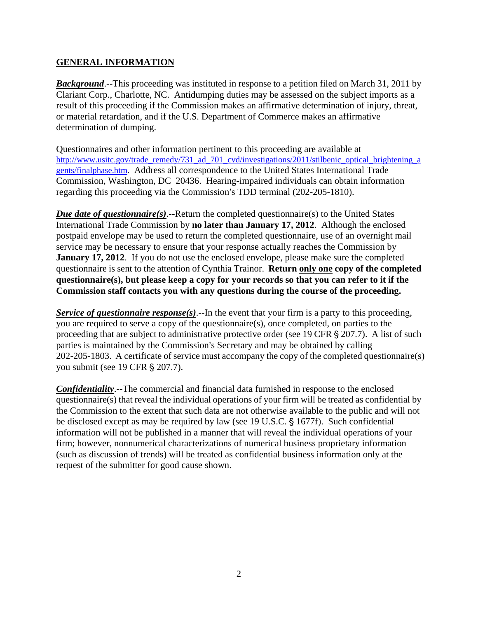## **GENERAL INFORMATION**

**Background.**--This proceeding was instituted in response to a petition filed on March 31, 2011 by Clariant Corp., Charlotte, NC. Antidumping duties may be assessed on the subject imports as a result of this proceeding if the Commission makes an affirmative determination of injury, threat, or material retardation, and if the U.S. Department of Commerce makes an affirmative determination of dumping.

Questionnaires and other information pertinent to this proceeding are available at http://www.usitc.gov/trade\_remedy/731\_ad\_701\_cvd/investigations/2011/stilbenic\_optical\_brightening\_a gents/finalphase.htm. Address all correspondence to the United States International Trade Commission, Washington, DC 20436. Hearing-impaired individuals can obtain information regarding this proceeding via the Commission's TDD terminal (202-205-1810).

*Due date of questionnaire(s)*.--Return the completed questionnaire(s) to the United States International Trade Commission by **no later than January 17, 2012**. Although the enclosed postpaid envelope may be used to return the completed questionnaire, use of an overnight mail service may be necessary to ensure that your response actually reaches the Commission by **January 17, 2012**. If you do not use the enclosed envelope, please make sure the completed questionnaire is sent to the attention of Cynthia Trainor. **Return only one copy of the completed questionnaire(s), but please keep a copy for your records so that you can refer to it if the Commission staff contacts you with any questions during the course of the proceeding.**

*Service of questionnaire response(s)*.--In the event that your firm is a party to this proceeding, you are required to serve a copy of the questionnaire(s), once completed, on parties to the proceeding that are subject to administrative protective order (see 19 CFR § 207.7). A list of such parties is maintained by the Commission's Secretary and may be obtained by calling 202-205-1803. A certificate of service must accompany the copy of the completed questionnaire(s) you submit (see 19 CFR § 207.7).

*Confidentiality*.--The commercial and financial data furnished in response to the enclosed questionnaire(s) that reveal the individual operations of your firm will be treated as confidential by the Commission to the extent that such data are not otherwise available to the public and will not be disclosed except as may be required by law (see 19 U.S.C.  $\S$  1677f). Such confidential information will not be published in a manner that will reveal the individual operations of your firm; however, nonnumerical characterizations of numerical business proprietary information (such as discussion of trends) will be treated as confidential business information only at the request of the submitter for good cause shown.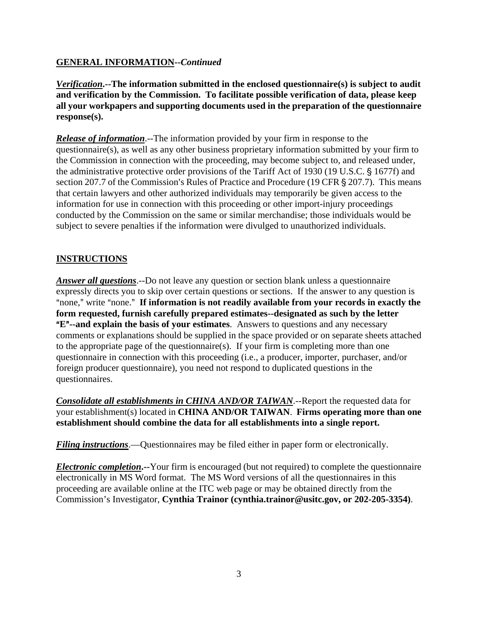# **GENERAL INFORMATION--***Continued*

*Verification***.--The information submitted in the enclosed questionnaire(s) is subject to audit and verification by the Commission. To facilitate possible verification of data, please keep all your workpapers and supporting documents used in the preparation of the questionnaire response(s).**

*Release of information*.--The information provided by your firm in response to the questionnaire(s), as well as any other business proprietary information submitted by your firm to the Commission in connection with the proceeding, may become subject to, and released under, the administrative protective order provisions of the Tariff Act of 1930 (19 U.S.C. § 1677f) and section 207.7 of the Commission's Rules of Practice and Procedure (19 CFR § 207.7). This means that certain lawyers and other authorized individuals may temporarily be given access to the information for use in connection with this proceeding or other import-injury proceedings conducted by the Commission on the same or similar merchandise; those individuals would be subject to severe penalties if the information were divulged to unauthorized individuals.

# **INSTRUCTIONS**

*Answer all questions*.--Do not leave any question or section blank unless a questionnaire expressly directs you to skip over certain questions or sections. If the answer to any question is "none," write "none." If information is not readily available from your records in exactly the **form requested, furnish carefully prepared estimates--designated as such by the letter E<sup>"</sup>--and explain the basis of your estimates**. Answers to questions and any necessary comments or explanations should be supplied in the space provided or on separate sheets attached to the appropriate page of the questionnaire(s). If your firm is completing more than one questionnaire in connection with this proceeding (i.e., a producer, importer, purchaser, and/or foreign producer questionnaire), you need not respond to duplicated questions in the questionnaires.

*Consolidate all establishments in CHINA AND/OR TAIWAN*.--Report the requested data for your establishment(s) located in **CHINA AND/OR TAIWAN**. **Firms operating more than one establishment should combine the data for all establishments into a single report.** 

*Filing instructions*.—Questionnaires may be filed either in paper form or electronically.

*Electronic completion***.--**Your firm is encouraged (but not required) to complete the questionnaire electronically in MS Word format. The MS Word versions of all the questionnaires in this proceeding are available online at the ITC web page or may be obtained directly from the Commission's Investigator, **Cynthia Trainor (cynthia.trainor@usitc.gov, or 202-205-3354)**.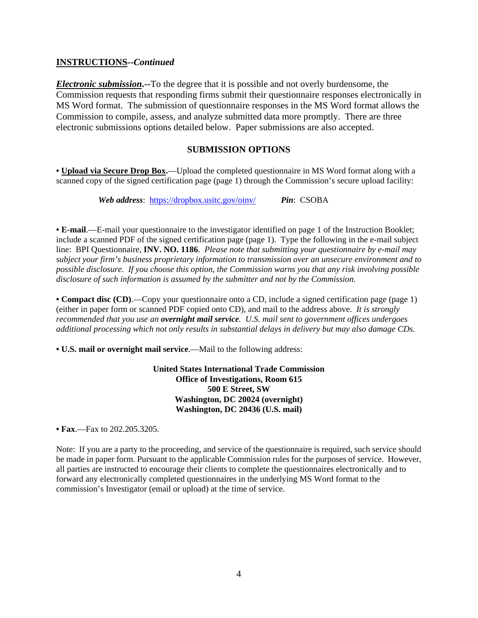#### **INSTRUCTIONS--***Continued*

*Electronic submission***.--**To the degree that it is possible and not overly burdensome, the Commission requests that responding firms submit their questionnaire responses electronically in MS Word format. The submission of questionnaire responses in the MS Word format allows the Commission to compile, assess, and analyze submitted data more promptly. There are three electronic submissions options detailed below. Paper submissions are also accepted.

#### **SUBMISSION OPTIONS**

**• Upload via Secure Drop Box.**—Upload the completed questionnaire in MS Word format along with a scanned copy of the signed certification page (page 1) through the Commission's secure upload facility:

*Web address*: https://dropbox.usitc.gov/oinv/ *Pin*: CSOBA

**• E-mail**.—E-mail your questionnaire to the investigator identified on page 1 of the Instruction Booklet; include a scanned PDF of the signed certification page (page 1). Type the following in the e-mail subject line: BPI Questionnaire, **INV. NO. 1186**. *Please note that submitting your questionnaire by e-mail may subject your firm's business proprietary information to transmission over an unsecure environment and to possible disclosure. If you choose this option, the Commission warns you that any risk involving possible disclosure of such information is assumed by the submitter and not by the Commission.* 

**• Compact disc (CD)**.—Copy your questionnaire onto a CD, include a signed certification page (page 1) (either in paper form or scanned PDF copied onto CD), and mail to the address above. *It is strongly recommended that you use an overnight mail service. U.S. mail sent to government offices undergoes additional processing which not only results in substantial delays in delivery but may also damage CDs.* 

**• U.S. mail or overnight mail service**.—Mail to the following address:

**United States International Trade Commission Office of Investigations, Room 615 500 E Street, SW Washington, DC 20024 (overnight) Washington, DC 20436 (U.S. mail)**

**• Fax**.—Fax to 202.205.3205.

Note: If you are a party to the proceeding, and service of the questionnaire is required, such service should be made in paper form. Pursuant to the applicable Commission rules for the purposes of service. However, all parties are instructed to encourage their clients to complete the questionnaires electronically and to forward any electronically completed questionnaires in the underlying MS Word format to the commission's Investigator (email or upload) at the time of service.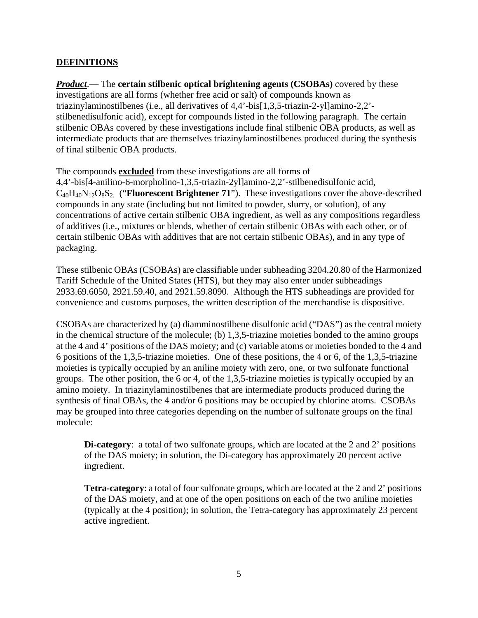# **DEFINITIONS**

*Product*.— The **certain stilbenic optical brightening agents (CSOBAs)** covered by these investigations are all forms (whether free acid or salt) of compounds known as triazinylaminostilbenes (i.e., all derivatives of 4,4'-bis[1,3,5-triazin-2-yl]amino-2,2' stilbenedisulfonic acid), except for compounds listed in the following paragraph. The certain stilbenic OBAs covered by these investigations include final stilbenic OBA products, as well as intermediate products that are themselves triazinylaminostilbenes produced during the synthesis of final stilbenic OBA products.

The compounds **excluded** from these investigations are all forms of

4,4'-bis[4-anilino-6-morpholino-1,3,5-triazin-2yl]amino-2,2'-stilbenedisulfonic acid, C40H40N12O8S2. ("**Fluorescent Brightener 71**"). These investigations cover the above-described compounds in any state (including but not limited to powder, slurry, or solution), of any concentrations of active certain stilbenic OBA ingredient, as well as any compositions regardless of additives (i.e., mixtures or blends, whether of certain stilbenic OBAs with each other, or of certain stilbenic OBAs with additives that are not certain stilbenic OBAs), and in any type of packaging.

These stilbenic OBAs (CSOBAs) are classifiable under subheading 3204.20.80 of the Harmonized Tariff Schedule of the United States (HTS), but they may also enter under subheadings 2933.69.6050, 2921.59.40, and 2921.59.8090. Although the HTS subheadings are provided for convenience and customs purposes, the written description of the merchandise is dispositive.

CSOBAs are characterized by (a) diamminostilbene disulfonic acid ("DAS") as the central moiety in the chemical structure of the molecule; (b) 1,3,5-triazine moieties bonded to the amino groups at the 4 and 4' positions of the DAS moiety; and (c) variable atoms or moieties bonded to the 4 and 6 positions of the 1,3,5-triazine moieties. One of these positions, the 4 or 6, of the 1,3,5-triazine moieties is typically occupied by an aniline moiety with zero, one, or two sulfonate functional groups. The other position, the 6 or 4, of the 1,3,5-triazine moieties is typically occupied by an amino moiety. In triazinylaminostilbenes that are intermediate products produced during the synthesis of final OBAs, the 4 and/or 6 positions may be occupied by chlorine atoms. CSOBAs may be grouped into three categories depending on the number of sulfonate groups on the final molecule:

**Di-category**: a total of two sulfonate groups, which are located at the 2 and 2' positions of the DAS moiety; in solution, the Di-category has approximately 20 percent active ingredient.

**Tetra-category**: a total of four sulfonate groups, which are located at the 2 and 2' positions of the DAS moiety, and at one of the open positions on each of the two aniline moieties (typically at the 4 position); in solution, the Tetra-category has approximately 23 percent active ingredient.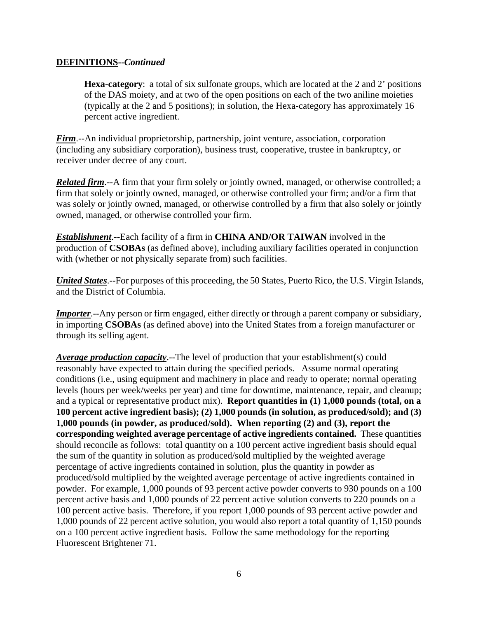#### **DEFINITIONS--***Continued*

**Hexa-category**: a total of six sulfonate groups, which are located at the 2 and 2' positions of the DAS moiety, and at two of the open positions on each of the two aniline moieties (typically at the 2 and 5 positions); in solution, the Hexa-category has approximately 16 percent active ingredient.

*Firm*.--An individual proprietorship, partnership, joint venture, association, corporation (including any subsidiary corporation), business trust, cooperative, trustee in bankruptcy, or receiver under decree of any court.

*Related firm.*--A firm that your firm solely or jointly owned, managed, or otherwise controlled; a firm that solely or jointly owned, managed, or otherwise controlled your firm; and/or a firm that was solely or jointly owned, managed, or otherwise controlled by a firm that also solely or jointly owned, managed, or otherwise controlled your firm.

*Establishment*.--Each facility of a firm in **CHINA AND/OR TAIWAN** involved in the production of **CSOBAs** (as defined above), including auxiliary facilities operated in conjunction with (whether or not physically separate from) such facilities.

*United States*.--For purposes of this proceeding, the 50 States, Puerto Rico, the U.S. Virgin Islands, and the District of Columbia.

*Importer.*--Any person or firm engaged, either directly or through a parent company or subsidiary, in importing **CSOBAs** (as defined above) into the United States from a foreign manufacturer or through its selling agent.

*Average production capacity*.--The level of production that your establishment(s) could reasonably have expected to attain during the specified periods. Assume normal operating conditions (i.e., using equipment and machinery in place and ready to operate; normal operating levels (hours per week/weeks per year) and time for downtime, maintenance, repair, and cleanup; and a typical or representative product mix). **Report quantities in (1) 1,000 pounds (total, on a 100 percent active ingredient basis); (2) 1,000 pounds (in solution, as produced/sold); and (3) 1,000 pounds (in powder, as produced/sold). When reporting (2) and (3), report the corresponding weighted average percentage of active ingredients contained.** These quantities should reconcile as follows: total quantity on a 100 percent active ingredient basis should equal the sum of the quantity in solution as produced/sold multiplied by the weighted average percentage of active ingredients contained in solution, plus the quantity in powder as produced/sold multiplied by the weighted average percentage of active ingredients contained in powder. For example, 1,000 pounds of 93 percent active powder converts to 930 pounds on a 100 percent active basis and 1,000 pounds of 22 percent active solution converts to 220 pounds on a 100 percent active basis. Therefore, if you report 1,000 pounds of 93 percent active powder and 1,000 pounds of 22 percent active solution, you would also report a total quantity of 1,150 pounds on a 100 percent active ingredient basis. Follow the same methodology for the reporting Fluorescent Brightener 71.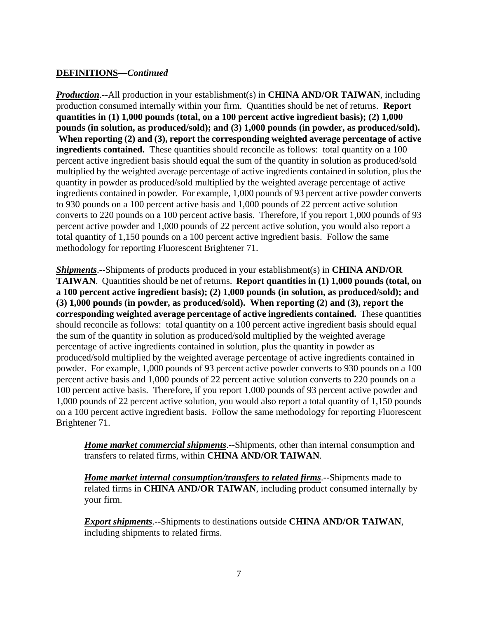# **DEFINITIONS—***Continued*

*Production*.--All production in your establishment(s) in **CHINA AND/OR TAIWAN**, including production consumed internally within your firm. Quantities should be net of returns. **Report quantities in (1) 1,000 pounds (total, on a 100 percent active ingredient basis); (2) 1,000 pounds (in solution, as produced/sold); and (3) 1,000 pounds (in powder, as produced/sold). When reporting (2) and (3), report the corresponding weighted average percentage of active ingredients contained.** These quantities should reconcile as follows: total quantity on a 100 percent active ingredient basis should equal the sum of the quantity in solution as produced/sold multiplied by the weighted average percentage of active ingredients contained in solution, plus the quantity in powder as produced/sold multiplied by the weighted average percentage of active ingredients contained in powder. For example, 1,000 pounds of 93 percent active powder converts to 930 pounds on a 100 percent active basis and 1,000 pounds of 22 percent active solution converts to 220 pounds on a 100 percent active basis. Therefore, if you report 1,000 pounds of 93 percent active powder and 1,000 pounds of 22 percent active solution, you would also report a total quantity of 1,150 pounds on a 100 percent active ingredient basis. Follow the same methodology for reporting Fluorescent Brightener 71.

*Shipments*.--Shipments of products produced in your establishment(s) in **CHINA AND/OR TAIWAN**. Quantities should be net of returns. **Report quantities in (1) 1,000 pounds (total, on a 100 percent active ingredient basis); (2) 1,000 pounds (in solution, as produced/sold); and (3) 1,000 pounds (in powder, as produced/sold). When reporting (2) and (3), report the corresponding weighted average percentage of active ingredients contained.** These quantities should reconcile as follows: total quantity on a 100 percent active ingredient basis should equal the sum of the quantity in solution as produced/sold multiplied by the weighted average percentage of active ingredients contained in solution, plus the quantity in powder as produced/sold multiplied by the weighted average percentage of active ingredients contained in powder. For example, 1,000 pounds of 93 percent active powder converts to 930 pounds on a 100 percent active basis and 1,000 pounds of 22 percent active solution converts to 220 pounds on a 100 percent active basis. Therefore, if you report 1,000 pounds of 93 percent active powder and 1,000 pounds of 22 percent active solution, you would also report a total quantity of 1,150 pounds on a 100 percent active ingredient basis. Follow the same methodology for reporting Fluorescent Brightener 71.

*Home market commercial shipments*.--Shipments, other than internal consumption and transfers to related firms, within **CHINA AND/OR TAIWAN**.

*Home market internal consumption/transfers to related firms*.--Shipments made to related firms in **CHINA AND/OR TAIWAN**, including product consumed internally by your firm.

*Export shipments*.--Shipments to destinations outside **CHINA AND/OR TAIWAN**, including shipments to related firms.